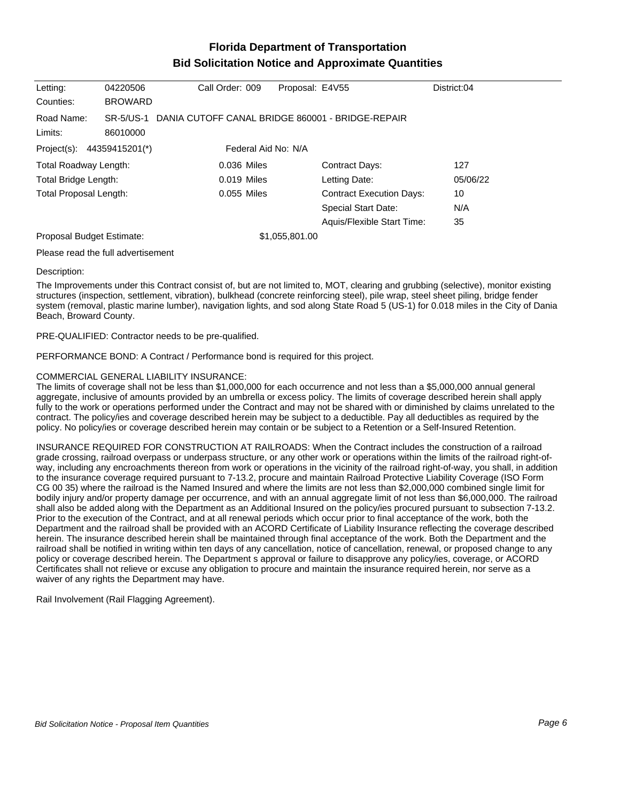## **Florida Department of Transportation Bid Solicitation Notice and Approximate Quantities**

| Letting:                                                        | 04220506       | Call Order: 009                                            | Proposal: E4V55                 | District:04 |  |  |
|-----------------------------------------------------------------|----------------|------------------------------------------------------------|---------------------------------|-------------|--|--|
| Counties:                                                       | <b>BROWARD</b> |                                                            |                                 |             |  |  |
| Road Name:                                                      |                | SR-5/US-1 DANIA CUTOFF CANAL BRIDGE 860001 - BRIDGE-REPAIR |                                 |             |  |  |
| Limits:                                                         | 86010000       |                                                            |                                 |             |  |  |
| Federal Aid No: N/A<br>Project(s): $44359415201$ <sup>*</sup> ) |                |                                                            |                                 |             |  |  |
| Total Roadway Length:                                           |                | 0.036 Miles                                                | <b>Contract Days:</b>           | 127         |  |  |
| Total Bridge Length:                                            |                | $0.019$ Miles                                              | Letting Date:                   | 05/06/22    |  |  |
| <b>Total Proposal Length:</b>                                   |                | $0.055$ Miles                                              | <b>Contract Execution Days:</b> | 10          |  |  |
|                                                                 |                |                                                            | <b>Special Start Date:</b>      | N/A         |  |  |
|                                                                 |                |                                                            | Aquis/Flexible Start Time:      | 35          |  |  |
| Proposal Budget Estimate:                                       |                |                                                            | \$1,055,801.00                  |             |  |  |
| Following a computation of the first constant computer.         |                |                                                            |                                 |             |  |  |

Please read the full advertisement

## Description:

The Improvements under this Contract consist of, but are not limited to, MOT, clearing and grubbing (selective), monitor existing structures (inspection, settlement, vibration), bulkhead (concrete reinforcing steel), pile wrap, steel sheet piling, bridge fender system (removal, plastic marine lumber), navigation lights, and sod along State Road 5 (US-1) for 0.018 miles in the City of Dania Beach, Broward County.

PRE-QUALIFIED: Contractor needs to be pre-qualified.

PERFORMANCE BOND: A Contract / Performance bond is required for this project.

## COMMERCIAL GENERAL LIABILITY INSURANCE:

The limits of coverage shall not be less than \$1,000,000 for each occurrence and not less than a \$5,000,000 annual general aggregate, inclusive of amounts provided by an umbrella or excess policy. The limits of coverage described herein shall apply fully to the work or operations performed under the Contract and may not be shared with or diminished by claims unrelated to the contract. The policy/ies and coverage described herein may be subject to a deductible. Pay all deductibles as required by the policy. No policy/ies or coverage described herein may contain or be subject to a Retention or a Self-Insured Retention.

INSURANCE REQUIRED FOR CONSTRUCTION AT RAILROADS: When the Contract includes the construction of a railroad grade crossing, railroad overpass or underpass structure, or any other work or operations within the limits of the railroad right-ofway, including any encroachments thereon from work or operations in the vicinity of the railroad right-of-way, you shall, in addition to the insurance coverage required pursuant to 7-13.2, procure and maintain Railroad Protective Liability Coverage (ISO Form CG 00 35) where the railroad is the Named Insured and where the limits are not less than \$2,000,000 combined single limit for bodily injury and/or property damage per occurrence, and with an annual aggregate limit of not less than \$6,000,000. The railroad shall also be added along with the Department as an Additional Insured on the policy/ies procured pursuant to subsection 7-13.2. Prior to the execution of the Contract, and at all renewal periods which occur prior to final acceptance of the work, both the Department and the railroad shall be provided with an ACORD Certificate of Liability Insurance reflecting the coverage described herein. The insurance described herein shall be maintained through final acceptance of the work. Both the Department and the railroad shall be notified in writing within ten days of any cancellation, notice of cancellation, renewal, or proposed change to any policy or coverage described herein. The Department s approval or failure to disapprove any policy/ies, coverage, or ACORD Certificates shall not relieve or excuse any obligation to procure and maintain the insurance required herein, nor serve as a waiver of any rights the Department may have.

Rail Involvement (Rail Flagging Agreement).